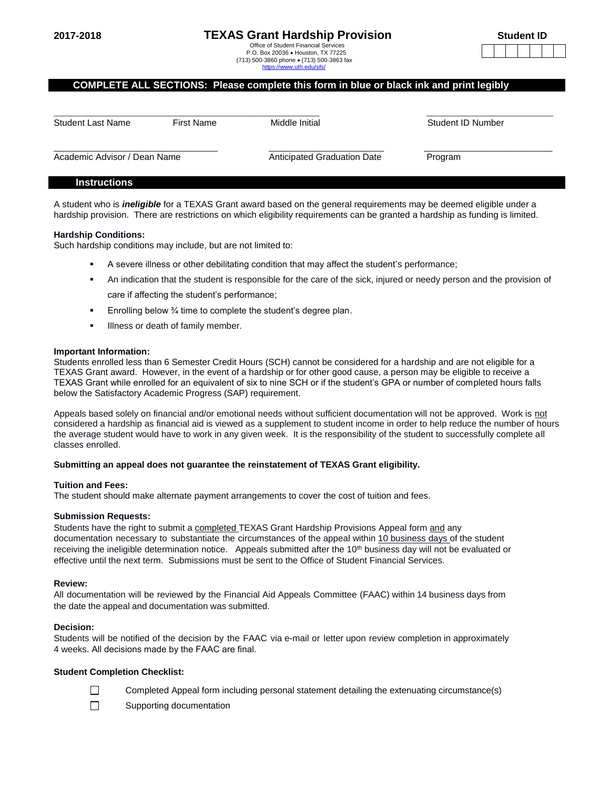# **2017-2018 TEXAS Grant Hardship Provision**

 Office of Student Financial Services P.O. Box 20036 Houston, TX 77225 (713) 500-3860 phone (713) 500-3863 fax https://www.utl

| udent ID |  |  |  |  |  |  |
|----------|--|--|--|--|--|--|
|          |  |  |  |  |  |  |

# **COMPLETE ALL SECTIONS: Please complete this form in blue or black ink and print legibly**

| <b>Student Last Name</b>     | First Name | Middle Initial              | Student ID Number |
|------------------------------|------------|-----------------------------|-------------------|
| Academic Advisor / Dean Name |            | Anticipated Graduation Date | Program           |

#### **Instructions**

A student who is *ineligible* for a TEXAS Grant award based on the general requirements may be deemed eligible under a hardship provision. There are restrictions on which eligibility requirements can be granted a hardship as funding is limited.

#### **Hardship Conditions:**

Such hardship conditions may include, but are not limited to:

- A severe illness or other debilitating condition that may affect the student's performance;
- An indication that the student is responsible for the care of the sick, injured or needy person and the provision of care if affecting the student's performance;
- Enrolling below ¾ time to complete the student's degree plan.
- **Illness or death of family member.**

#### **Important Information:**

Students enrolled less than 6 Semester Credit Hours (SCH) cannot be considered for a hardship and are not eligible for a TEXAS Grant award. However, in the event of a hardship or for other good cause, a person may be eligible to receive a TEXAS Grant while enrolled for an equivalent of six to nine SCH or if the student's GPA or number of completed hours falls below the Satisfactory Academic Progress (SAP) requirement.

Appeals based solely on financial and/or emotional needs without sufficient documentation will not be approved. Work is not considered a hardship as financial aid is viewed as a supplement to student income in order to help reduce the number of hours the average student would have to work in any given week. It is the responsibility of the student to successfully complete all classes enrolled.

#### **Submitting an appeal does not guarantee the reinstatement of TEXAS Grant eligibility.**

#### **Tuition and Fees:**

The student should make alternate payment arrangements to cover the cost of tuition and fees.

#### **Submission Requests:**

Students have the right to submit a completed TEXAS Grant Hardship Provisions Appeal form and any documentation necessary to substantiate the circumstances of the appeal within 10 business days of the student receiving the ineligible determination notice. Appeals submitted after the  $10<sup>th</sup>$  business day will not be evaluated or effective until the next term. Submissions must be sent to the Office of Student Financial Services.

#### **Review:**

All documentation will be reviewed by the Financial Aid Appeals Committee (FAAC) within 14 business days from the date the appeal and documentation was submitted.

#### **Decision:**

Students will be notified of the decision by the FAAC via e-mail or letter upon review completion in approximately 4 weeks. All decisions made by the FAAC are final.

# **Student Completion Checklist:**

- $\Box$ Completed Appeal form including personal statement detailing the extenuating circumstance(s)
- $\Box$ Supporting documentation